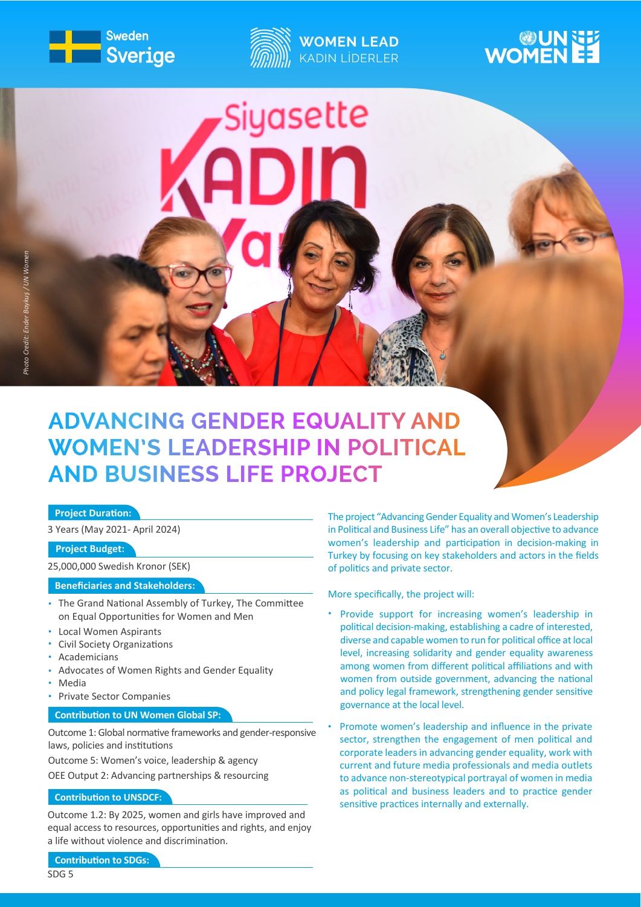



**Siyasette** 

# **WOMEN**

# **ADVANCING GENDER EQUALITY AND WOMEN'S LEADERSHIP IN POLITICAL AND BUSINESS LIFE PROJECT**

## **Project Duration:**

3 Years (May 2021- April 2024)

# **Project Budget:**

25,000,000 Swedish Kronor (SEK)

### **Beneficiaries and Stakeholders:**

- The Grand National Assembly of Turkey, The Committee on Equal Opportunities for Women and Men
- Local Women Aspirants •
- Civil Society Organizations •
- Academicians •
- Advocates of Women Rights and Gender Equality •
- Media •
- Private Sector Companies •

#### **Contribution to UN Women Global SP:**

Outcome 1: Global normative frameworks and gender-responsive laws, policies and institutions

Outcome 5: Women's voice, leadership & agency

OEE Output 2: Advancing partnerships & resourcing

#### **Contribution to UNSDCF:**

Outcome 1.2: By 2025, women and girls have improved and equal access to resources, opportunities and rights, and enjoy a life without violence and discrimination.

The project "Advancing Gender Equality and Women's Leadership in Political and Business Life" has an overall objective to advance women's leadership and participation in decision-making in Turkey by focusing on key stakeholders and actors in the fields of politics and private sector.

More specifically, the project will:

- Provide support for increasing women's leadership in political decision-making, establishing a cadre of interested, diverse and capable women to run for political office at local level, increasing solidarity and gender equality awareness among women from different political affiliations and with women from outside government, advancing the national and policy legal framework, strengthening gender sensitive governance at the local level.
- Promote women's leadership and influence in the private sector, strengthen the engagement of men political and corporate leaders in advancing gender equality, work with current and future media professionals and media outlets to advance non-stereotypical portrayal of women in media as political and business leaders and to practice gender sensitive practices internally and externally. •

**Contribution to SDGs:**